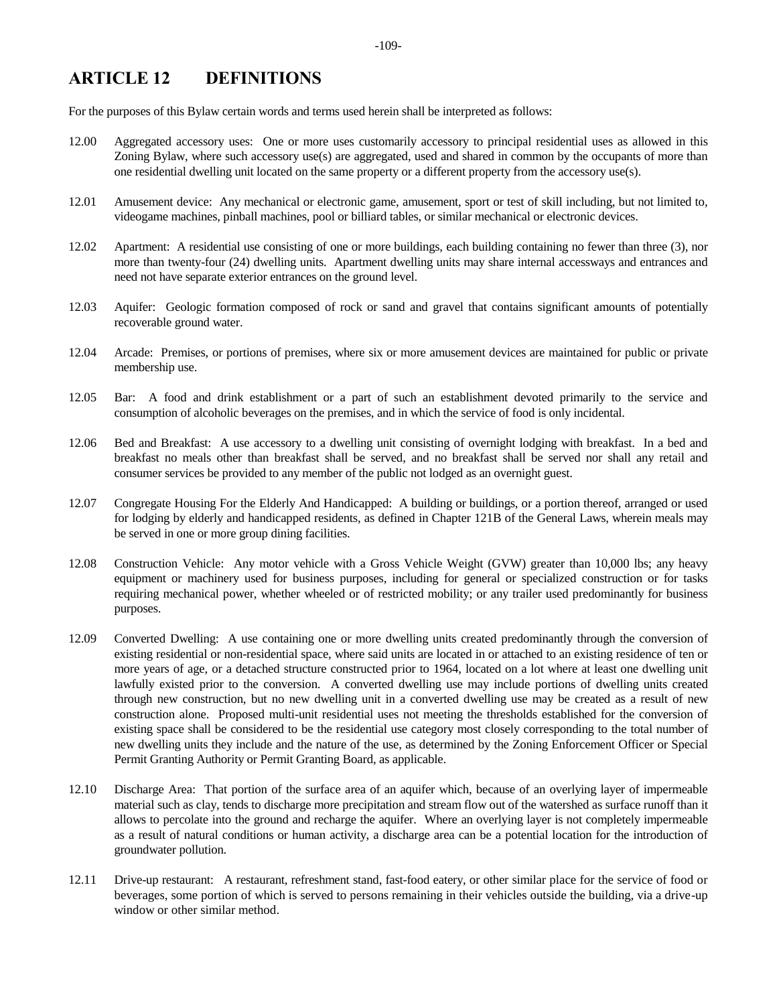## **ARTICLE 12 DEFINITIONS**

For the purposes of this Bylaw certain words and terms used herein shall be interpreted as follows:

- 12.00 Aggregated accessory uses: One or more uses customarily accessory to principal residential uses as allowed in this Zoning Bylaw, where such accessory use(s) are aggregated, used and shared in common by the occupants of more than one residential dwelling unit located on the same property or a different property from the accessory use(s).
- 12.01 Amusement device: Any mechanical or electronic game, amusement, sport or test of skill including, but not limited to, videogame machines, pinball machines, pool or billiard tables, or similar mechanical or electronic devices.
- 12.02 Apartment: A residential use consisting of one or more buildings, each building containing no fewer than three (3), nor more than twenty-four (24) dwelling units. Apartment dwelling units may share internal accessways and entrances and need not have separate exterior entrances on the ground level.
- 12.03 Aquifer: Geologic formation composed of rock or sand and gravel that contains significant amounts of potentially recoverable ground water.
- 12.04 Arcade: Premises, or portions of premises, where six or more amusement devices are maintained for public or private membership use.
- 12.05 Bar: A food and drink establishment or a part of such an establishment devoted primarily to the service and consumption of alcoholic beverages on the premises, and in which the service of food is only incidental.
- 12.06 Bed and Breakfast: A use accessory to a dwelling unit consisting of overnight lodging with breakfast. In a bed and breakfast no meals other than breakfast shall be served, and no breakfast shall be served nor shall any retail and consumer services be provided to any member of the public not lodged as an overnight guest.
- 12.07 Congregate Housing For the Elderly And Handicapped: A building or buildings, or a portion thereof, arranged or used for lodging by elderly and handicapped residents, as defined in Chapter 121B of the General Laws, wherein meals may be served in one or more group dining facilities.
- 12.08 Construction Vehicle: Any motor vehicle with a Gross Vehicle Weight (GVW) greater than 10,000 lbs; any heavy equipment or machinery used for business purposes, including for general or specialized construction or for tasks requiring mechanical power, whether wheeled or of restricted mobility; or any trailer used predominantly for business purposes.
- 12.09 Converted Dwelling: A use containing one or more dwelling units created predominantly through the conversion of existing residential or non-residential space, where said units are located in or attached to an existing residence of ten or more years of age, or a detached structure constructed prior to 1964, located on a lot where at least one dwelling unit lawfully existed prior to the conversion. A converted dwelling use may include portions of dwelling units created through new construction, but no new dwelling unit in a converted dwelling use may be created as a result of new construction alone. Proposed multi-unit residential uses not meeting the thresholds established for the conversion of existing space shall be considered to be the residential use category most closely corresponding to the total number of new dwelling units they include and the nature of the use, as determined by the Zoning Enforcement Officer or Special Permit Granting Authority or Permit Granting Board, as applicable.
- 12.10 Discharge Area: That portion of the surface area of an aquifer which, because of an overlying layer of impermeable material such as clay, tends to discharge more precipitation and stream flow out of the watershed as surface runoff than it allows to percolate into the ground and recharge the aquifer. Where an overlying layer is not completely impermeable as a result of natural conditions or human activity, a discharge area can be a potential location for the introduction of groundwater pollution.
- 12.11 Drive-up restaurant: A restaurant, refreshment stand, fast-food eatery, or other similar place for the service of food or beverages, some portion of which is served to persons remaining in their vehicles outside the building, via a drive-up window or other similar method.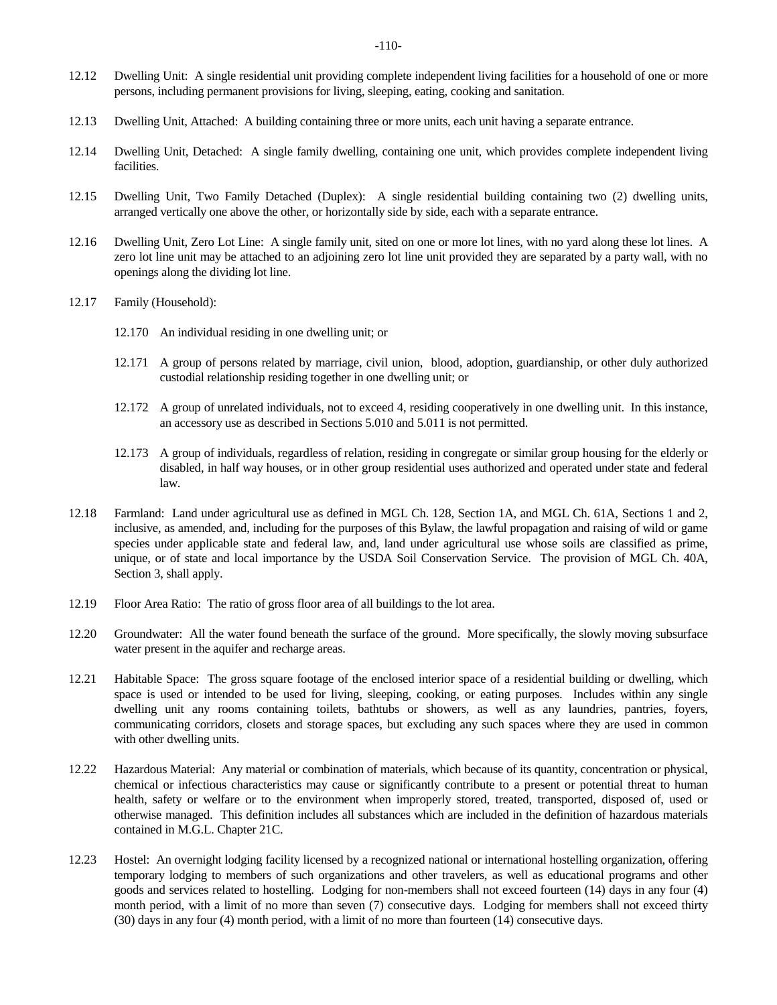- 12.12 Dwelling Unit: A single residential unit providing complete independent living facilities for a household of one or more persons, including permanent provisions for living, sleeping, eating, cooking and sanitation.
- 12.13 Dwelling Unit, Attached: A building containing three or more units, each unit having a separate entrance.
- 12.14 Dwelling Unit, Detached: A single family dwelling, containing one unit, which provides complete independent living facilities.
- 12.15 Dwelling Unit, Two Family Detached (Duplex): A single residential building containing two (2) dwelling units, arranged vertically one above the other, or horizontally side by side, each with a separate entrance.
- 12.16 Dwelling Unit, Zero Lot Line: A single family unit, sited on one or more lot lines, with no yard along these lot lines. A zero lot line unit may be attached to an adjoining zero lot line unit provided they are separated by a party wall, with no openings along the dividing lot line.
- 12.17 Family (Household):
	- 12.170 An individual residing in one dwelling unit; or
	- 12.171 A group of persons related by marriage, civil union, blood, adoption, guardianship, or other duly authorized custodial relationship residing together in one dwelling unit; or
	- 12.172 A group of unrelated individuals, not to exceed 4, residing cooperatively in one dwelling unit. In this instance, an accessory use as described in Sections 5.010 and 5.011 is not permitted.
	- 12.173 A group of individuals, regardless of relation, residing in congregate or similar group housing for the elderly or disabled, in half way houses, or in other group residential uses authorized and operated under state and federal law.
- 12.18 Farmland: Land under agricultural use as defined in MGL Ch. 128, Section 1A, and MGL Ch. 61A, Sections 1 and 2, inclusive, as amended, and, including for the purposes of this Bylaw, the lawful propagation and raising of wild or game species under applicable state and federal law, and, land under agricultural use whose soils are classified as prime, unique, or of state and local importance by the USDA Soil Conservation Service. The provision of MGL Ch. 40A, Section 3, shall apply.
- 12.19 Floor Area Ratio: The ratio of gross floor area of all buildings to the lot area.
- 12.20 Groundwater: All the water found beneath the surface of the ground. More specifically, the slowly moving subsurface water present in the aquifer and recharge areas.
- 12.21 Habitable Space: The gross square footage of the enclosed interior space of a residential building or dwelling, which space is used or intended to be used for living, sleeping, cooking, or eating purposes. Includes within any single dwelling unit any rooms containing toilets, bathtubs or showers, as well as any laundries, pantries, foyers, communicating corridors, closets and storage spaces, but excluding any such spaces where they are used in common with other dwelling units.
- 12.22 Hazardous Material: Any material or combination of materials, which because of its quantity, concentration or physical, chemical or infectious characteristics may cause or significantly contribute to a present or potential threat to human health, safety or welfare or to the environment when improperly stored, treated, transported, disposed of, used or otherwise managed. This definition includes all substances which are included in the definition of hazardous materials contained in M.G.L. Chapter 21C.
- 12.23 Hostel: An overnight lodging facility licensed by a recognized national or international hostelling organization, offering temporary lodging to members of such organizations and other travelers, as well as educational programs and other goods and services related to hostelling. Lodging for non-members shall not exceed fourteen (14) days in any four (4) month period, with a limit of no more than seven (7) consecutive days. Lodging for members shall not exceed thirty (30) days in any four (4) month period, with a limit of no more than fourteen (14) consecutive days.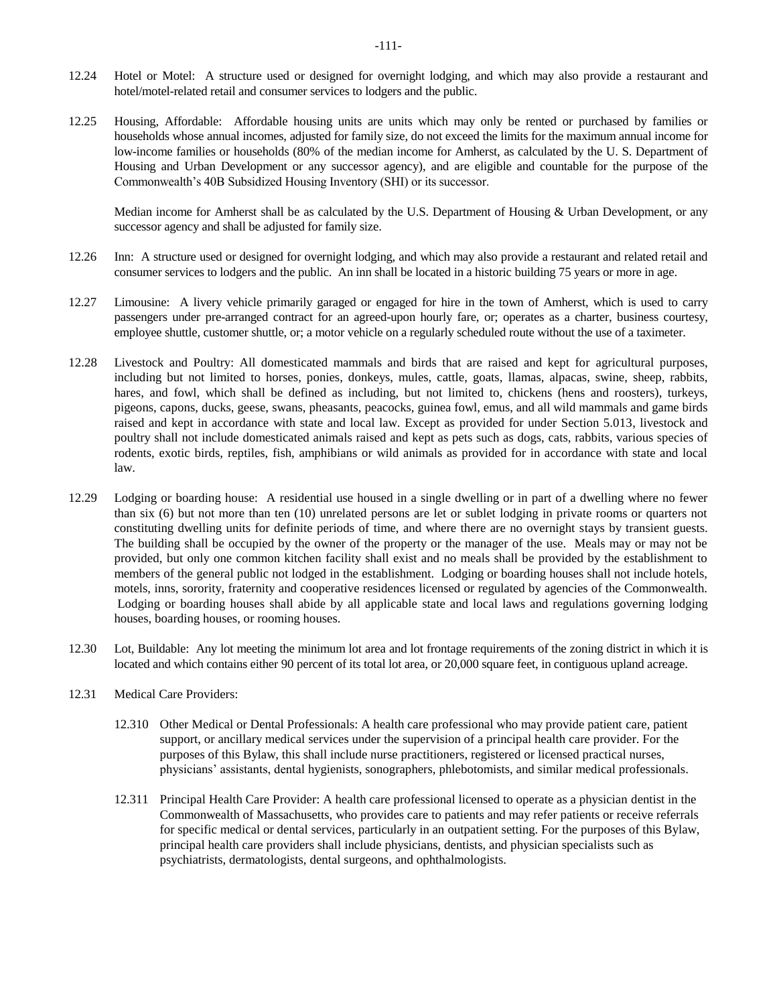- 12.24 Hotel or Motel: A structure used or designed for overnight lodging, and which may also provide a restaurant and hotel/motel-related retail and consumer services to lodgers and the public.
- 12.25 Housing, Affordable: Affordable housing units are units which may only be rented or purchased by families or households whose annual incomes, adjusted for family size, do not exceed the limits for the maximum annual income for low-income families or households (80% of the median income for Amherst, as calculated by the U. S. Department of Housing and Urban Development or any successor agency), and are eligible and countable for the purpose of the Commonwealth's 40B Subsidized Housing Inventory (SHI) or its successor.

Median income for Amherst shall be as calculated by the U.S. Department of Housing & Urban Development, or any successor agency and shall be adjusted for family size.

- 12.26 Inn: A structure used or designed for overnight lodging, and which may also provide a restaurant and related retail and consumer services to lodgers and the public. An inn shall be located in a historic building 75 years or more in age.
- 12.27 Limousine: A livery vehicle primarily garaged or engaged for hire in the town of Amherst, which is used to carry passengers under pre-arranged contract for an agreed-upon hourly fare, or; operates as a charter, business courtesy, employee shuttle, customer shuttle, or; a motor vehicle on a regularly scheduled route without the use of a taximeter.
- 12.28 Livestock and Poultry: All domesticated mammals and birds that are raised and kept for agricultural purposes, including but not limited to horses, ponies, donkeys, mules, cattle, goats, llamas, alpacas, swine, sheep, rabbits, hares, and fowl, which shall be defined as including, but not limited to, chickens (hens and roosters), turkeys, pigeons, capons, ducks, geese, swans, pheasants, peacocks, guinea fowl, emus, and all wild mammals and game birds raised and kept in accordance with state and local law. Except as provided for under Section 5.013, livestock and poultry shall not include domesticated animals raised and kept as pets such as dogs, cats, rabbits, various species of rodents, exotic birds, reptiles, fish, amphibians or wild animals as provided for in accordance with state and local law.
- 12.29 Lodging or boarding house: A residential use housed in a single dwelling or in part of a dwelling where no fewer than six (6) but not more than ten (10) unrelated persons are let or sublet lodging in private rooms or quarters not constituting dwelling units for definite periods of time, and where there are no overnight stays by transient guests. The building shall be occupied by the owner of the property or the manager of the use. Meals may or may not be provided, but only one common kitchen facility shall exist and no meals shall be provided by the establishment to members of the general public not lodged in the establishment. Lodging or boarding houses shall not include hotels, motels, inns, sorority, fraternity and cooperative residences licensed or regulated by agencies of the Commonwealth. Lodging or boarding houses shall abide by all applicable state and local laws and regulations governing lodging houses, boarding houses, or rooming houses.
- 12.30 Lot, Buildable: Any lot meeting the minimum lot area and lot frontage requirements of the zoning district in which it is located and which contains either 90 percent of its total lot area, or 20,000 square feet, in contiguous upland acreage.
- 12.31 Medical Care Providers:
	- 12.310 Other Medical or Dental Professionals: A health care professional who may provide patient care, patient support, or ancillary medical services under the supervision of a principal health care provider. For the purposes of this Bylaw, this shall include nurse practitioners, registered or licensed practical nurses, physicians' assistants, dental hygienists, sonographers, phlebotomists, and similar medical professionals.
	- 12.311 Principal Health Care Provider: A health care professional licensed to operate as a physician dentist in the Commonwealth of Massachusetts, who provides care to patients and may refer patients or receive referrals for specific medical or dental services, particularly in an outpatient setting. For the purposes of this Bylaw, principal health care providers shall include physicians, dentists, and physician specialists such as psychiatrists, dermatologists, dental surgeons, and ophthalmologists.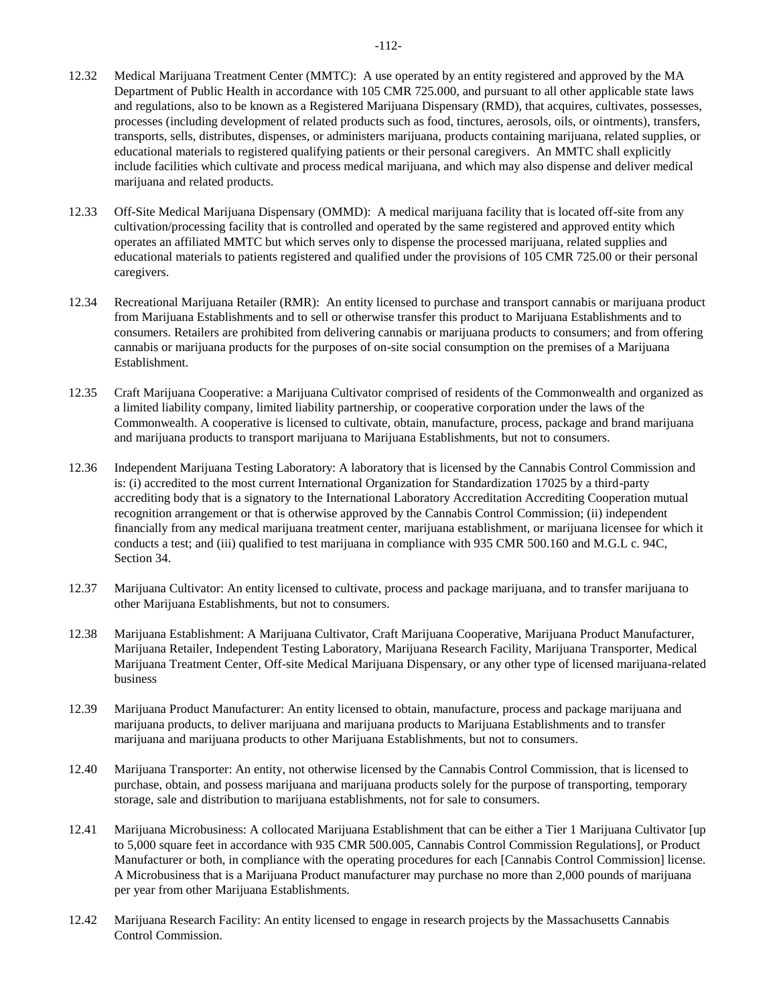- 12.32 Medical Marijuana Treatment Center (MMTC): A use operated by an entity registered and approved by the MA Department of Public Health in accordance with 105 CMR 725.000, and pursuant to all other applicable state laws and regulations, also to be known as a Registered Marijuana Dispensary (RMD), that acquires, cultivates, possesses, processes (including development of related products such as food, tinctures, aerosols, oils, or ointments), transfers, transports, sells, distributes, dispenses, or administers marijuana, products containing marijuana, related supplies, or educational materials to registered qualifying patients or their personal caregivers. An MMTC shall explicitly include facilities which cultivate and process medical marijuana, and which may also dispense and deliver medical marijuana and related products.
- 12.33 Off-Site Medical Marijuana Dispensary (OMMD): A medical marijuana facility that is located off-site from any cultivation/processing facility that is controlled and operated by the same registered and approved entity which operates an affiliated MMTC but which serves only to dispense the processed marijuana, related supplies and educational materials to patients registered and qualified under the provisions of 105 CMR 725.00 or their personal caregivers.
- 12.34 Recreational Marijuana Retailer (RMR): An entity licensed to purchase and transport cannabis or marijuana product from Marijuana Establishments and to sell or otherwise transfer this product to Marijuana Establishments and to consumers. Retailers are prohibited from delivering cannabis or marijuana products to consumers; and from offering cannabis or marijuana products for the purposes of on-site social consumption on the premises of a Marijuana Establishment.
- 12.35 Craft Marijuana Cooperative: a Marijuana Cultivator comprised of residents of the Commonwealth and organized as a limited liability company, limited liability partnership, or cooperative corporation under the laws of the Commonwealth. A cooperative is licensed to cultivate, obtain, manufacture, process, package and brand marijuana and marijuana products to transport marijuana to Marijuana Establishments, but not to consumers.
- 12.36 Independent Marijuana Testing Laboratory: A laboratory that is licensed by the Cannabis Control Commission and is: (i) accredited to the most current International Organization for Standardization 17025 by a third-party accrediting body that is a signatory to the International Laboratory Accreditation Accrediting Cooperation mutual recognition arrangement or that is otherwise approved by the Cannabis Control Commission; (ii) independent financially from any medical marijuana treatment center, marijuana establishment, or marijuana licensee for which it conducts a test; and (iii) qualified to test marijuana in compliance with 935 CMR 500.160 and M.G.L c. 94C, Section 34.
- 12.37 Marijuana Cultivator: An entity licensed to cultivate, process and package marijuana, and to transfer marijuana to other Marijuana Establishments, but not to consumers.
- 12.38 Marijuana Establishment: A Marijuana Cultivator, Craft Marijuana Cooperative, Marijuana Product Manufacturer, Marijuana Retailer, Independent Testing Laboratory, Marijuana Research Facility, Marijuana Transporter, Medical Marijuana Treatment Center, Off-site Medical Marijuana Dispensary, or any other type of licensed marijuana-related business
- 12.39 Marijuana Product Manufacturer: An entity licensed to obtain, manufacture, process and package marijuana and marijuana products, to deliver marijuana and marijuana products to Marijuana Establishments and to transfer marijuana and marijuana products to other Marijuana Establishments, but not to consumers.
- 12.40 Marijuana Transporter: An entity, not otherwise licensed by the Cannabis Control Commission, that is licensed to purchase, obtain, and possess marijuana and marijuana products solely for the purpose of transporting, temporary storage, sale and distribution to marijuana establishments, not for sale to consumers.
- 12.41 Marijuana Microbusiness: A collocated Marijuana Establishment that can be either a Tier 1 Marijuana Cultivator [up to 5,000 square feet in accordance with 935 CMR 500.005, Cannabis Control Commission Regulations], or Product Manufacturer or both, in compliance with the operating procedures for each [Cannabis Control Commission] license. A Microbusiness that is a Marijuana Product manufacturer may purchase no more than 2,000 pounds of marijuana per year from other Marijuana Establishments.
- 12.42 Marijuana Research Facility: An entity licensed to engage in research projects by the Massachusetts Cannabis Control Commission.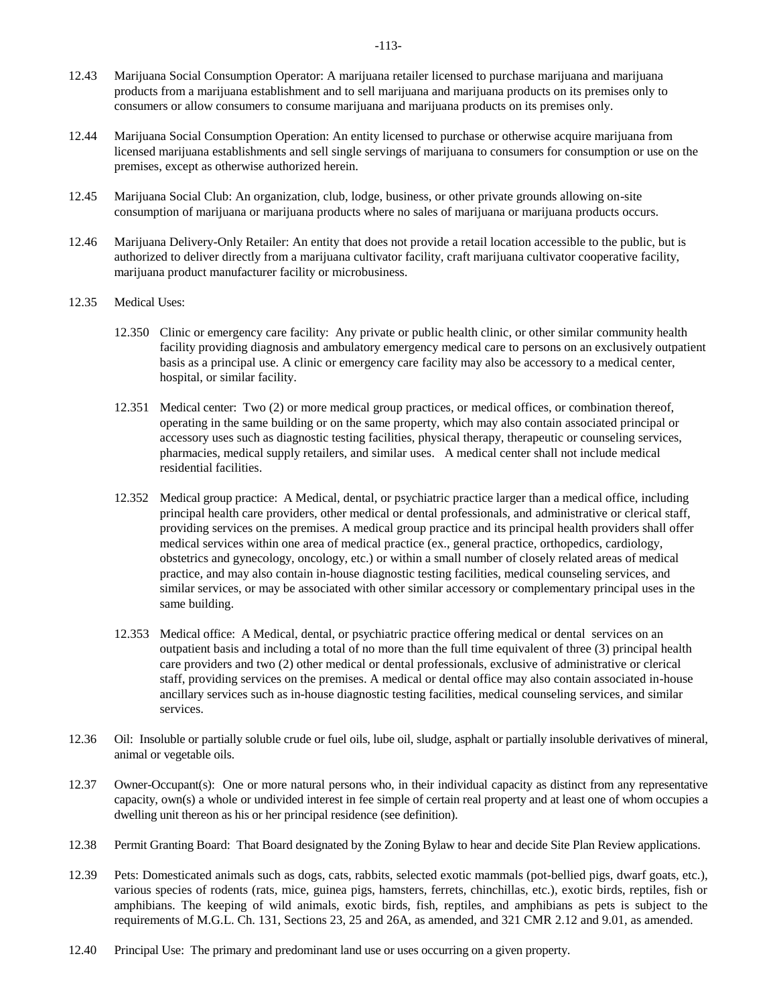- 12.43 Marijuana Social Consumption Operator: A marijuana retailer licensed to purchase marijuana and marijuana products from a marijuana establishment and to sell marijuana and marijuana products on its premises only to consumers or allow consumers to consume marijuana and marijuana products on its premises only.
- 12.44 Marijuana Social Consumption Operation: An entity licensed to purchase or otherwise acquire marijuana from licensed marijuana establishments and sell single servings of marijuana to consumers for consumption or use on the premises, except as otherwise authorized herein.
- 12.45 Marijuana Social Club: An organization, club, lodge, business, or other private grounds allowing on-site consumption of marijuana or marijuana products where no sales of marijuana or marijuana products occurs.
- 12.46 Marijuana Delivery-Only Retailer: An entity that does not provide a retail location accessible to the public, but is authorized to deliver directly from a marijuana cultivator facility, craft marijuana cultivator cooperative facility, marijuana product manufacturer facility or microbusiness.
- 12.35 Medical Uses:
	- 12.350 Clinic or emergency care facility: Any private or public health clinic, or other similar community health facility providing diagnosis and ambulatory emergency medical care to persons on an exclusively outpatient basis as a principal use. A clinic or emergency care facility may also be accessory to a medical center, hospital, or similar facility.
	- 12.351 Medical center: Two (2) or more medical group practices, or medical offices, or combination thereof, operating in the same building or on the same property, which may also contain associated principal or accessory uses such as diagnostic testing facilities, physical therapy, therapeutic or counseling services, pharmacies, medical supply retailers, and similar uses. A medical center shall not include medical residential facilities.
	- 12.352 Medical group practice: A Medical, dental, or psychiatric practice larger than a medical office, including principal health care providers, other medical or dental professionals, and administrative or clerical staff, providing services on the premises. A medical group practice and its principal health providers shall offer medical services within one area of medical practice (ex., general practice, orthopedics, cardiology, obstetrics and gynecology, oncology, etc.) or within a small number of closely related areas of medical practice, and may also contain in-house diagnostic testing facilities, medical counseling services, and similar services, or may be associated with other similar accessory or complementary principal uses in the same building.
	- 12.353 Medical office: A Medical, dental, or psychiatric practice offering medical or dental services on an outpatient basis and including a total of no more than the full time equivalent of three (3) principal health care providers and two (2) other medical or dental professionals, exclusive of administrative or clerical staff, providing services on the premises. A medical or dental office may also contain associated in-house ancillary services such as in-house diagnostic testing facilities, medical counseling services, and similar services.
- 12.36 Oil: Insoluble or partially soluble crude or fuel oils, lube oil, sludge, asphalt or partially insoluble derivatives of mineral, animal or vegetable oils.
- 12.37 Owner-Occupant(s): One or more natural persons who, in their individual capacity as distinct from any representative capacity, own(s) a whole or undivided interest in fee simple of certain real property and at least one of whom occupies a dwelling unit thereon as his or her principal residence (see definition).
- 12.38 Permit Granting Board: That Board designated by the Zoning Bylaw to hear and decide Site Plan Review applications.
- 12.39 Pets: Domesticated animals such as dogs, cats, rabbits, selected exotic mammals (pot-bellied pigs, dwarf goats, etc.), various species of rodents (rats, mice, guinea pigs, hamsters, ferrets, chinchillas, etc.), exotic birds, reptiles, fish or amphibians. The keeping of wild animals, exotic birds, fish, reptiles, and amphibians as pets is subject to the requirements of M.G.L. Ch. 131, Sections 23, 25 and 26A, as amended, and 321 CMR 2.12 and 9.01, as amended.
- 12.40 Principal Use: The primary and predominant land use or uses occurring on a given property.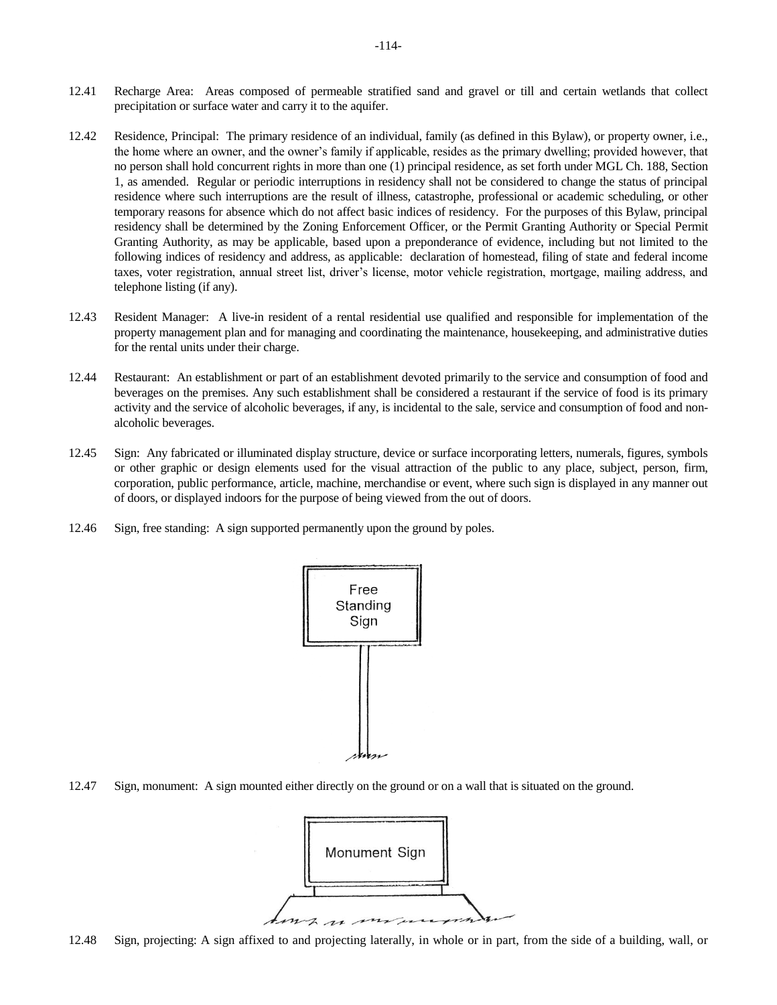- 12.41 Recharge Area: Areas composed of permeable stratified sand and gravel or till and certain wetlands that collect precipitation or surface water and carry it to the aquifer.
- 12.42 Residence, Principal: The primary residence of an individual, family (as defined in this Bylaw), or property owner, i.e., the home where an owner, and the owner's family if applicable, resides as the primary dwelling; provided however, that no person shall hold concurrent rights in more than one (1) principal residence, as set forth under MGL Ch. 188, Section 1, as amended. Regular or periodic interruptions in residency shall not be considered to change the status of principal residence where such interruptions are the result of illness, catastrophe, professional or academic scheduling, or other temporary reasons for absence which do not affect basic indices of residency. For the purposes of this Bylaw, principal residency shall be determined by the Zoning Enforcement Officer, or the Permit Granting Authority or Special Permit Granting Authority, as may be applicable, based upon a preponderance of evidence, including but not limited to the following indices of residency and address, as applicable: declaration of homestead, filing of state and federal income taxes, voter registration, annual street list, driver's license, motor vehicle registration, mortgage, mailing address, and telephone listing (if any).
- 12.43 Resident Manager: A live-in resident of a rental residential use qualified and responsible for implementation of the property management plan and for managing and coordinating the maintenance, housekeeping, and administrative duties for the rental units under their charge.
- 12.44 Restaurant: An establishment or part of an establishment devoted primarily to the service and consumption of food and beverages on the premises. Any such establishment shall be considered a restaurant if the service of food is its primary activity and the service of alcoholic beverages, if any, is incidental to the sale, service and consumption of food and nonalcoholic beverages.
- 12.45 Sign: Any fabricated or illuminated display structure, device or surface incorporating letters, numerals, figures, symbols or other graphic or design elements used for the visual attraction of the public to any place, subject, person, firm, corporation, public performance, article, machine, merchandise or event, where such sign is displayed in any manner out of doors, or displayed indoors for the purpose of being viewed from the out of doors.
- 12.46 Sign, free standing: A sign supported permanently upon the ground by poles.



12.47 Sign, monument: A sign mounted either directly on the ground or on a wall that is situated on the ground.

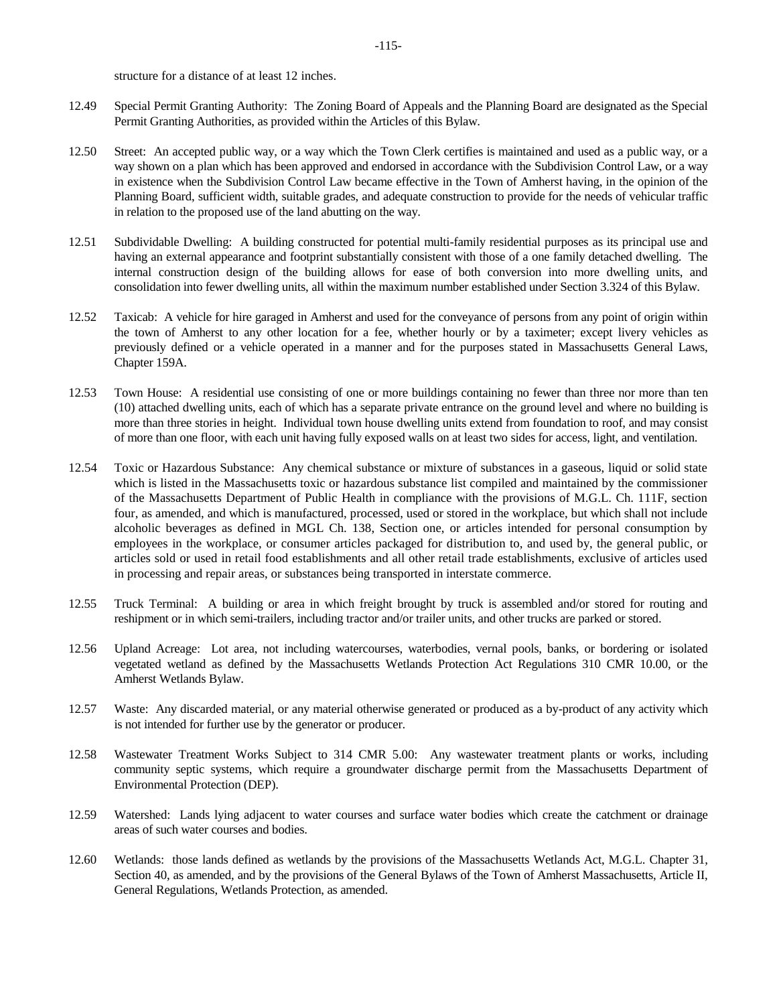structure for a distance of at least 12 inches.

- 12.49 Special Permit Granting Authority: The Zoning Board of Appeals and the Planning Board are designated as the Special Permit Granting Authorities, as provided within the Articles of this Bylaw.
- 12.50 Street: An accepted public way, or a way which the Town Clerk certifies is maintained and used as a public way, or a way shown on a plan which has been approved and endorsed in accordance with the Subdivision Control Law, or a way in existence when the Subdivision Control Law became effective in the Town of Amherst having, in the opinion of the Planning Board, sufficient width, suitable grades, and adequate construction to provide for the needs of vehicular traffic in relation to the proposed use of the land abutting on the way.
- 12.51 Subdividable Dwelling: A building constructed for potential multi-family residential purposes as its principal use and having an external appearance and footprint substantially consistent with those of a one family detached dwelling. The internal construction design of the building allows for ease of both conversion into more dwelling units, and consolidation into fewer dwelling units, all within the maximum number established under Section 3.324 of this Bylaw.
- 12.52 Taxicab: A vehicle for hire garaged in Amherst and used for the conveyance of persons from any point of origin within the town of Amherst to any other location for a fee, whether hourly or by a taximeter; except livery vehicles as previously defined or a vehicle operated in a manner and for the purposes stated in Massachusetts General Laws, Chapter 159A.
- 12.53 Town House: A residential use consisting of one or more buildings containing no fewer than three nor more than ten (10) attached dwelling units, each of which has a separate private entrance on the ground level and where no building is more than three stories in height. Individual town house dwelling units extend from foundation to roof, and may consist of more than one floor, with each unit having fully exposed walls on at least two sides for access, light, and ventilation.
- 12.54 Toxic or Hazardous Substance: Any chemical substance or mixture of substances in a gaseous, liquid or solid state which is listed in the Massachusetts toxic or hazardous substance list compiled and maintained by the commissioner of the Massachusetts Department of Public Health in compliance with the provisions of M.G.L. Ch. 111F, section four, as amended, and which is manufactured, processed, used or stored in the workplace, but which shall not include alcoholic beverages as defined in MGL Ch. 138, Section one, or articles intended for personal consumption by employees in the workplace, or consumer articles packaged for distribution to, and used by, the general public, or articles sold or used in retail food establishments and all other retail trade establishments, exclusive of articles used in processing and repair areas, or substances being transported in interstate commerce.
- 12.55 Truck Terminal: A building or area in which freight brought by truck is assembled and/or stored for routing and reshipment or in which semi-trailers, including tractor and/or trailer units, and other trucks are parked or stored.
- 12.56 Upland Acreage: Lot area, not including watercourses, waterbodies, vernal pools, banks, or bordering or isolated vegetated wetland as defined by the Massachusetts Wetlands Protection Act Regulations 310 CMR 10.00, or the Amherst Wetlands Bylaw.
- 12.57 Waste: Any discarded material, or any material otherwise generated or produced as a by-product of any activity which is not intended for further use by the generator or producer.
- 12.58 Wastewater Treatment Works Subject to 314 CMR 5.00: Any wastewater treatment plants or works, including community septic systems, which require a groundwater discharge permit from the Massachusetts Department of Environmental Protection (DEP).
- 12.59 Watershed: Lands lying adjacent to water courses and surface water bodies which create the catchment or drainage areas of such water courses and bodies.
- 12.60 Wetlands: those lands defined as wetlands by the provisions of the Massachusetts Wetlands Act, M.G.L. Chapter 31, Section 40, as amended, and by the provisions of the General Bylaws of the Town of Amherst Massachusetts, Article II, General Regulations, Wetlands Protection, as amended.